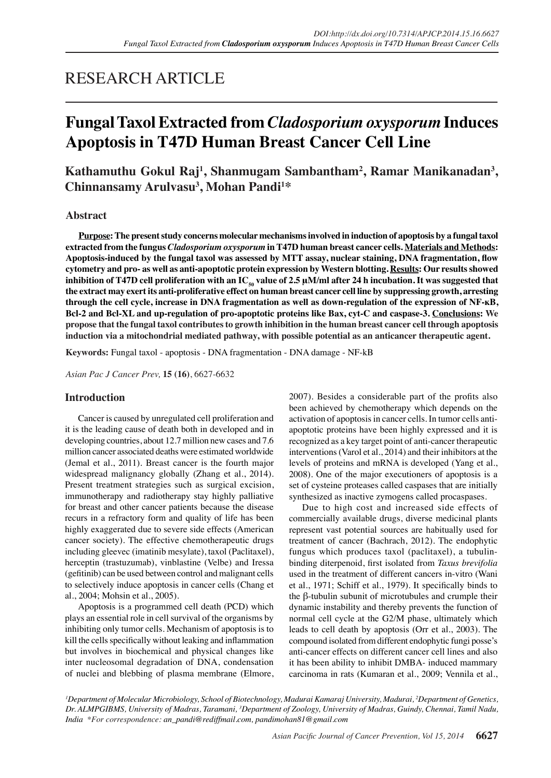# RESEARCH ARTICLE

# **Fungal Taxol Extracted from** *Cladosporium oxysporum* **Induces Apoptosis in T47D Human Breast Cancer Cell Line**

**Kathamuthu Gokul Raj<sup>1</sup> , Shanmugam Sambantham2 , Ramar Manikanadan3 , Chinnansamy Arulvasu<sup>3</sup> , Mohan Pandi1 \***

## **Abstract**

**Purpose: The present study concerns molecular mechanisms involved in induction of apoptosis by a fungal taxol extracted from the fungus** *Cladosporium oxysporum* **in T47D human breast cancer cells. Materials and Methods: Apoptosis-induced by the fungal taxol was assessed by MTT assay, nuclear staining, DNA fragmentation, flow cytometry and pro- as well as anti-apoptotic protein expression by Western blotting. Results: Our results showed**  inhibition of T47D cell proliferation with an IC<sub>50</sub> value of 2.5 μM/ml after 24 h incubation. It was suggested that **the extract may exert its anti-proliferative effect on human breast cancer cell line by suppressing growth, arresting through the cell cycle, increase in DNA fragmentation as well as down-regulation of the expression of NF-ĸB, Bcl-2 and Bcl-XL and up-regulation of pro-apoptotic proteins like Bax, cyt-C and caspase-3. Conclusions: We propose that the fungal taxol contributes to growth inhibition in the human breast cancer cell through apoptosis induction via a mitochondrial mediated pathway, with possible potential as an anticancer therapeutic agent.**

**Keywords:** Fungal taxol - apoptosis - DNA fragmentation - DNA damage - NF-kB

*Asian Pac J Cancer Prev,* **15 (16)**, 6627-6632

## **Introduction**

Cancer is caused by unregulated cell proliferation and it is the leading cause of death both in developed and in developing countries, about 12.7 million new cases and 7.6 million cancer associated deaths were estimated worldwide (Jemal et al., 2011). Breast cancer is the fourth major widespread malignancy globally (Zhang et al., 2014). Present treatment strategies such as surgical excision, immunotherapy and radiotherapy stay highly palliative for breast and other cancer patients because the disease recurs in a refractory form and quality of life has been highly exaggerated due to severe side effects (American cancer society). The effective chemotherapeutic drugs including gleevec (imatinib mesylate), taxol (Paclitaxel), herceptin (trastuzumab), vinblastine (Velbe) and Iressa (gefitinib) can be used between control and malignant cells to selectively induce apoptosis in cancer cells (Chang et al., 2004; Mohsin et al., 2005).

Apoptosis is a programmed cell death (PCD) which plays an essential role in cell survival of the organisms by inhibiting only tumor cells. Mechanism of apoptosis is to kill the cells specifically without leaking and inflammation but involves in biochemical and physical changes like inter nucleosomal degradation of DNA, condensation of nuclei and blebbing of plasma membrane (Elmore,

2007). Besides a considerable part of the profits also been achieved by chemotherapy which depends on the activation of apoptosis in cancer cells. In tumor cells antiapoptotic proteins have been highly expressed and it is recognized as a key target point of anti-cancer therapeutic interventions (Varol et al., 2014) and their inhibitors at the levels of proteins and mRNA is developed (Yang et al., 2008). One of the major executioners of apoptosis is a set of cysteine proteases called caspases that are initially synthesized as inactive zymogens called procaspases.

Due to high cost and increased side effects of commercially available drugs, diverse medicinal plants represent vast potential sources are habitually used for treatment of cancer (Bachrach, 2012). The endophytic fungus which produces taxol (paclitaxel), a tubulinbinding diterpenoid, first isolated from *Taxus brevifolia*  used in the treatment of different cancers in-vitro (Wani et al., 1971; Schiff et al., 1979). It specifically binds to the β-tubulin subunit of microtubules and crumple their dynamic instability and thereby prevents the function of normal cell cycle at the G2/M phase, ultimately which leads to cell death by apoptosis (Orr et al., 2003). The compound isolated from different endophytic fungi posse's anti-cancer effects on different cancer cell lines and also it has been ability to inhibit DMBA- induced mammary carcinoma in rats (Kumaran et al., 2009; Vennila et al.,

*1 Department of Molecular Microbiology, School of Biotechnology, Madurai Kamaraj University, Madurai, 2 Department of Genetics,*  Dr. ALMPGIBMS, University of Madras, Taramani, <sup>3</sup>Department of Zoology, University of Madras, Guindy, Chennai, Tamil Nadu, *India \*For correspondence: an\_pandi@rediffmail.com, pandimohan81@gmail.com*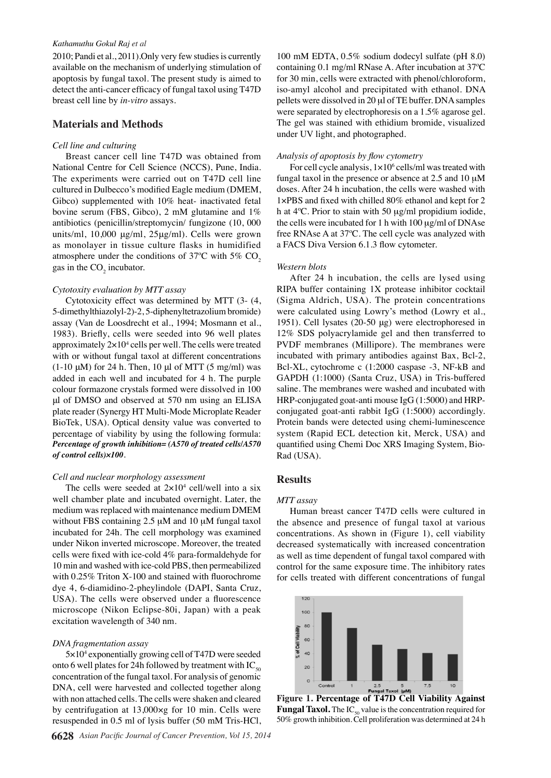#### *Kathamuthu Gokul Raj et al*

2010; Pandi et al., 2011).Only very few studies is currently available on the mechanism of underlying stimulation of apoptosis by fungal taxol. The present study is aimed to detect the anti-cancer efficacy of fungal taxol using T47D breast cell line by *in-vitro* assays.

## **Materials and Methods**

#### *Cell line and culturing*

Breast cancer cell line T47D was obtained from National Centre for Cell Science (NCCS), Pune, India. The experiments were carried out on T47D cell line cultured in Dulbecco's modified Eagle medium (DMEM, Gibco) supplemented with 10% heat- inactivated fetal bovine serum (FBS, Gibco), 2 mM glutamine and 1% antibiotics (penicillin/streptomycin/ fungizone (10, 000 units/ml, 10,000 μg/ml, 25μg/ml). Cells were grown as monolayer in tissue culture flasks in humidified atmosphere under the conditions of  $37^{\circ}$ C with  $5\%$  CO<sub>2</sub> gas in the  $CO<sub>2</sub>$  incubator.

### *Cytotoxity evaluation by MTT assay*

Cytotoxicity effect was determined by MTT (3- (4, 5-dimethylthiazolyl-2)-2, 5-diphenyltetrazolium bromide) assay (Van de Loosdrecht et al., 1994; Mosmann et al., 1983). Briefly, cells were seeded into 96 well plates approximately  $2 \times 10^4$  cells per well. The cells were treated with or without fungal taxol at different concentrations (1-10 μM) for 24 h. Then, 10 μl of MTT (5 mg/ml) was added in each well and incubated for 4 h. The purple colour formazone crystals formed were dissolved in 100 μl of DMSO and observed at 570 nm using an ELISA plate reader (Synergy HT Multi-Mode Microplate Reader BioTek, USA). Optical density value was converted to percentage of viability by using the following formula: *Percentage of growth inhibition= (A570 of treated cells/A570 of control cells)×100*.

#### *Cell and nuclear morphology assessment*

The cells were seeded at  $2 \times 10^4$  cell/well into a six well chamber plate and incubated overnight. Later, the medium was replaced with maintenance medium DMEM without FBS containing  $2.5 \mu M$  and 10  $\mu M$  fungal taxol incubated for 24h. The cell morphology was examined under Nikon inverted microscope. Moreover, the treated cells were fixed with ice-cold 4% para-formaldehyde for 10 min and washed with ice-cold PBS, then permeabilized with 0.25% Triton X-100 and stained with fluorochrome dye 4, 6-diamidino-2-pheylindole (DAPI, Santa Cruz, USA). The cells were observed under a fluorescence microscope (Nikon Eclipse-80i, Japan) with a peak excitation wavelength of 340 nm.

### *DNA fragmentation assay*

5×104 exponentially growing cell of T47D were seeded onto 6 well plates for 24h followed by treatment with  $IC_{50}$ concentration of the fungal taxol. For analysis of genomic DNA, cell were harvested and collected together along with non attached cells. The cells were shaken and cleared by centrifugation at 13,000×g for 10 min. Cells were resuspended in 0.5 ml of lysis buffer (50 mM Tris-HCl,

100 mM EDTA, 0.5% sodium dodecyl sulfate (pH 8.0) containing 0.1 mg/ml RNase A. After incubation at 37ºC for 30 min, cells were extracted with phenol/chloroform, iso-amyl alcohol and precipitated with ethanol. DNA pellets were dissolved in 20 µl of TE buffer. DNA samples were separated by electrophoresis on a 1.5% agarose gel. The gel was stained with ethidium bromide, visualized under UV light, and photographed.

### *Analysis of apoptosis by flow cytometry*

For cell cycle analysis,  $1 \times 10^6$  cells/ml was treated with fungal taxol in the presence or absence at  $2.5$  and  $10 \mu$ M doses. After 24 h incubation, the cells were washed with 1×PBS and fixed with chilled 80% ethanol and kept for 2 h at  $4^{\circ}$ C. Prior to stain with 50  $\mu$ g/ml propidium iodide, the cells were incubated for 1 h with  $100 \mu g/ml$  of DNAse free RNAse A at 37ºC. The cell cycle was analyzed with a FACS Diva Version 6.1.3 flow cytometer.

#### *Western blots*

After 24 h incubation, the cells are lysed using RIPA buffer containing 1X protease inhibitor cocktail (Sigma Aldrich, USA). The protein concentrations were calculated using Lowry's method (Lowry et al., 1951). Cell lysates (20-50 μg) were electrophoresed in 12% SDS polyacrylamide gel and then transferred to PVDF membranes (Millipore). The membranes were incubated with primary antibodies against Bax, Bcl-2, Bcl-XL, cytochrome c (1:2000 caspase -3, NF-kB and GAPDH (1:1000) (Santa Cruz, USA) in Tris-buffered saline. The membranes were washed and incubated with HRP-conjugated goat-anti mouse IgG (1:5000) and HRPconjugated goat-anti rabbit IgG (1:5000) accordingly. Protein bands were detected using chemi-luminescence system (Rapid ECL detection kit, Merck, USA) and quantified using Chemi Doc XRS Imaging System, Bio-Rad (USA).

## **Results**

#### *MTT assay*

Human breast cancer T47D cells were cultured in the absence and presence of fungal taxol at various concentrations. As shown in (Figure 1), cell viability decreased systematically with increased concentration as well as time dependent of fungal taxol compared with control for the same exposure time. The inhibitory rates for cells treated with different concentrations of fungal



**Figure 1. Percentage of T47D Cell Viability Against Fungal Taxol.** The IC<sub>50</sub> value is the concentration required for 50% growth inhibition. Cell proliferation was determined at 24 h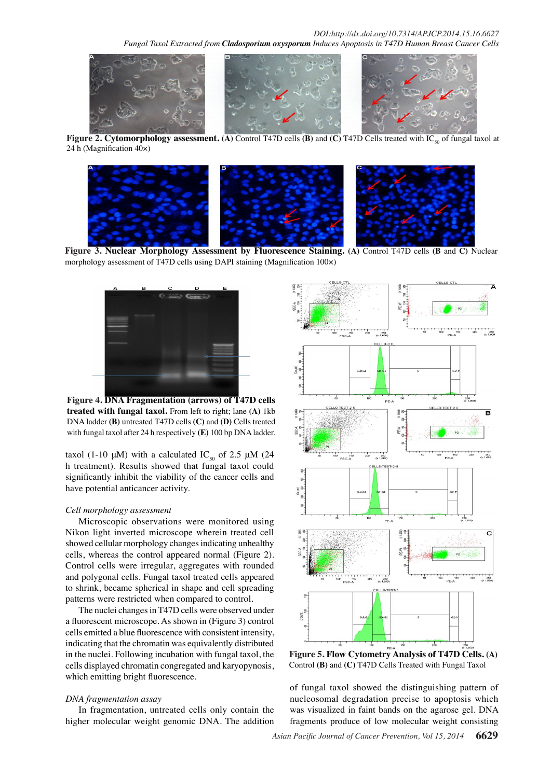

**Figure 2. Cytomorphology assessment.** (A) Control T47D cells **(B)** and **(C)** T47D Cells treated with IC<sub>50</sub> of fungal taxol at 24 h (Magnification 40×)



**Figure 3. Nuclear Morphology Assessment by Fluorescence Staining. (A)** Control T47D cells **(B** and **C)** Nuclear morphology assessment of T47D cells using DAPI staining (Magnification 100×)



**Figure 4. DNA Fragmentation (arrows) of T47D cells treated with fungal taxol.** From left to right; lane **(A)** 1kb DNA ladder **(B)** untreated T47D cells **(C)** and **(D)** Cells treated with fungal taxol after 24 h respectively **(E)** 100 bp DNA ladder.

taxol (1-10 μM) with a calculated IC<sub>50</sub> of 2.5 μM (24 h treatment). Results showed that fungal taxol could significantly inhibit the viability of the cancer cells and have potential anticancer activity.

### *Cell morphology assessment*

Microscopic observations were monitored using Nikon light inverted microscope wherein treated cell showed cellular morphology changes indicating unhealthy cells, whereas the control appeared normal (Figure 2). Control cells were irregular, aggregates with rounded and polygonal cells. Fungal taxol treated cells appeared to shrink, became spherical in shape and cell spreading patterns were restricted when compared to control.

The nuclei changes in T47D cells were observed under a fluorescent microscope. As shown in (Figure 3) control cells emitted a blue fluorescence with consistent intensity, indicating that the chromatin was equivalently distributed in the nuclei. Following incubation with fungal taxol, the cells displayed chromatin congregated and karyopynosis, which emitting bright fluorescence.

#### *DNA fragmentation assay*

In fragmentation, untreated cells only contain the higher molecular weight genomic DNA. The addition



**Figure 5. Flow Cytometry Analysis of T47D Cells. (A)**  Control **(B)** and **(C)** T47D Cells Treated with Fungal Taxol

of fungal taxol showed the distinguishing pattern of nucleosomal degradation precise to apoptosis which was visualized in faint bands on the agarose gel. DNA fragments produce of low molecular weight consisting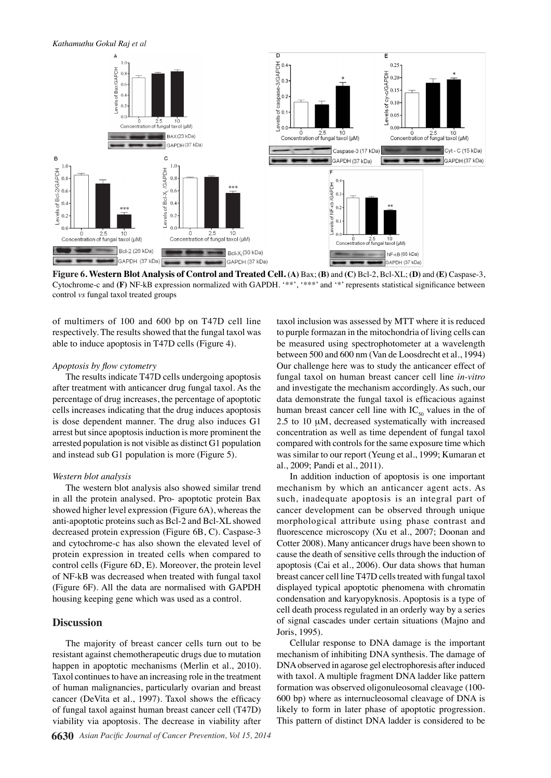

**Figure 6. Western Blot Analysis of Control and Treated Cell. (A)** Bax; **(B)** and **(C)** Bcl-2, Bcl-XL; **(D)** and **(E)** Caspase-3, Cytochrome-c and **(F)** NF-kB expression normalized with GAPDH. '\*\*', '\*\*\*' and '\*' represents statistical significance between control *vs* fungal taxol treated groups

of multimers of 100 and 600 bp on T47D cell line respectively. The results showed that the fungal taxol was able to induce apoptosis in T47D cells (Figure 4).

## *Apoptosis by flow cytometry*

The results indicate T47D cells undergoing apoptosis after treatment with anticancer drug fungal taxol. As the percentage of drug increases, the percentage of apoptotic cells increases indicating that the drug induces apoptosis is dose dependent manner. The drug also induces G1 arrest but since apoptosis induction is more prominent the arrested population is not visible as distinct G1 population and instead sub G1 population is more (Figure 5).

#### *Western blot analysis*

The western blot analysis also showed similar trend in all the protein analysed. Pro- apoptotic protein Bax showed higher level expression (Figure 6A), whereas the anti-apoptotic proteins such as Bcl-2 and Bcl-XL showed decreased protein expression (Figure 6B, C). Caspase-3 and cytochrome-c has also shown the elevated level of protein expression in treated cells when compared to control cells (Figure 6D, E). Moreover, the protein level of NF-kB was decreased when treated with fungal taxol (Figure 6F). All the data are normalised with GAPDH housing keeping gene which was used as a control.

## **Discussion**

The majority of breast cancer cells turn out to be resistant against chemotherapeutic drugs due to mutation happen in apoptotic mechanisms (Merlin et al., 2010). Taxol continues to have an increasing role in the treatment of human malignancies, particularly ovarian and breast cancer (DeVita et al., 1997). Taxol shows the efficacy of fungal taxol against human breast cancer cell (T47D) viability via apoptosis. The decrease in viability after

taxol inclusion was assessed by MTT where it is reduced to purple formazan in the mitochondria of living cells can be measured using spectrophotometer at a wavelength between 500 and 600 nm (Van de Loosdrecht et al., 1994) Our challenge here was to study the anticancer effect of fungal taxol on human breast cancer cell line *in-vitro* and investigate the mechanism accordingly. As such, our data demonstrate the fungal taxol is efficacious against human breast cancer cell line with  $IC_{50}$  values in the of  $2.5$  to 10  $\mu$ M, decreased systematically with increased concentration as well as time dependent of fungal taxol compared with controls for the same exposure time which was similar to our report (Yeung et al., 1999; Kumaran et al., 2009; Pandi et al., 2011).

In addition induction of apoptosis is one important mechanism by which an anticancer agent acts. As such, inadequate apoptosis is an integral part of cancer development can be observed through unique morphological attribute using phase contrast and fluorescence microscopy (Xu et al., 2007; Doonan and Cotter 2008). Many anticancer drugs have been shown to cause the death of sensitive cells through the induction of apoptosis (Cai et al., 2006). Our data shows that human breast cancer cell line T47D cells treated with fungal taxol displayed typical apoptotic phenomena with chromatin condensation and karyopyknosis. Apoptosis is a type of cell death process regulated in an orderly way by a series of signal cascades under certain situations (Majno and Joris, 1995).

Cellular response to DNA damage is the important mechanism of inhibiting DNA synthesis. The damage of DNA observed in agarose gel electrophoresis after induced with taxol. A multiple fragment DNA ladder like pattern formation was observed oligonuleosomal cleavage (100- 600 bp) where as internucleosomal cleavage of DNA is likely to form in later phase of apoptotic progression. This pattern of distinct DNA ladder is considered to be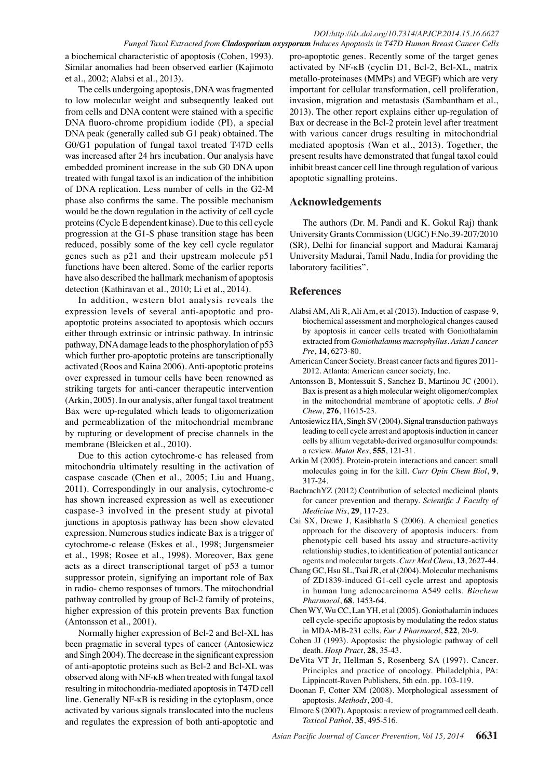a biochemical characteristic of apoptosis (Cohen, 1993). Similar anomalies had been observed earlier (Kajimoto et al., 2002; Alabsi et al., 2013).

The cells undergoing apoptosis, DNA was fragmented to low molecular weight and subsequently leaked out from cells and DNA content were stained with a specific DNA fluoro-chrome propidium iodide (PI), a special DNA peak (generally called sub G1 peak) obtained. The G0/G1 population of fungal taxol treated T47D cells was increased after 24 hrs incubation. Our analysis have embedded prominent increase in the sub G0 DNA upon treated with fungal taxol is an indication of the inhibition of DNA replication. Less number of cells in the G2-M phase also confirms the same. The possible mechanism would be the down regulation in the activity of cell cycle proteins (Cycle E dependent kinase). Due to this cell cycle progression at the G1-S phase transition stage has been reduced, possibly some of the key cell cycle regulator genes such as p21 and their upstream molecule p51 functions have been altered. Some of the earlier reports have also described the hallmark mechanism of apoptosis detection (Kathiravan et al., 2010; Li et al., 2014).

In addition, western blot analysis reveals the expression levels of several anti-apoptotic and proapoptotic proteins associated to apoptosis which occurs either through extrinsic or intrinsic pathway. In intrinsic pathway, DNA damage leads to the phosphorylation of p53 which further pro-apoptotic proteins are tanscriptionally activated (Roos and Kaina 2006). Anti-apoptotic proteins over expressed in tumour cells have been renowned as striking targets for anti-cancer therapeutic intervention (Arkin, 2005). In our analysis, after fungal taxol treatment Bax were up-regulated which leads to oligomerization and permeablization of the mitochondrial membrane by rupturing or development of precise channels in the membrane (Bleicken et al., 2010).

Due to this action cytochrome-c has released from mitochondria ultimately resulting in the activation of caspase cascade (Chen et al., 2005; Liu and Huang, 2011). Correspondingly in our analysis, cytochrome-c has shown increased expression as well as executioner caspase-3 involved in the present study at pivotal junctions in apoptosis pathway has been show elevated expression. Numerous studies indicate Bax is a trigger of cytochrome-c release (Eskes et al., 1998; Jurgensmeier et al., 1998; Rosee et al., 1998). Moreover, Bax gene acts as a direct transcriptional target of p53 a tumor suppressor protein, signifying an important role of Bax in radio- chemo responses of tumors. The mitochondrial pathway controlled by group of Bcl-2 family of proteins, higher expression of this protein prevents Bax function (Antonsson et al., 2001).

Normally higher expression of Bcl-2 and Bcl-XL has been pragmatic in several types of cancer (Antosiewicz and Singh 2004). The decrease in the significant expression of anti-apoptotic proteins such as Bcl-2 and Bcl-XL was observed along with NF-ĸB when treated with fungal taxol resulting in mitochondria-mediated apoptosis in T47D cell line. Generally NF-ĸB is residing in the cytoplasm, once activated by various signals translocated into the nucleus and regulates the expression of both anti-apoptotic and

pro-apoptotic genes. Recently some of the target genes activated by NF-ĸB (cyclin D1, Bcl-2, Bcl-XL, matrix metallo-proteinases (MMPs) and VEGF) which are very important for cellular transformation, cell proliferation, invasion, migration and metastasis (Sambantham et al., 2013). The other report explains either up-regulation of Bax or decrease in the Bcl-2 protein level after treatment with various cancer drugs resulting in mitochondrial mediated apoptosis (Wan et al., 2013). Together, the present results have demonstrated that fungal taxol could inhibit breast cancer cell line through regulation of various apoptotic signalling proteins.

## **Acknowledgements**

The authors (Dr. M. Pandi and K. Gokul Raj) thank University Grants Commission (UGC) F.No.39-207/2010 (SR), Delhi for financial support and Madurai Kamaraj University Madurai, Tamil Nadu, India for providing the laboratory facilities".

## **References**

- Alabsi AM, Ali R, Ali Am, et al (2013). Induction of caspase-9, biochemical assessment and morphological changes caused by apoptosis in cancer cells treated with Goniothalamin extracted from *Goniothalamus macrophyllus*. *Asian J cancer Pre*, **14**, 6273-80.
- American Cancer Society. Breast cancer facts and figures 2011- 2012. Atlanta: American cancer society, Inc.
- Antonsson B, Montessuit S, Sanchez B, Martinou JC (2001). Bax is present as a high molecular weight oligomer/complex in the mitochondrial membrane of apoptotic cells. *J Biol Chem*, **276**, 11615-23.
- Antosiewicz HA, Singh SV (2004). Signal transduction pathways leading to cell cycle arrest and apoptosis induction in cancer cells by allium vegetable-derived organosulfur compounds: a review. *Mutat Res*, **555**, 121-31.
- Arkin M (2005). Protein-protein interactions and cancer: small molecules going in for the kill. *Curr Opin Chem Biol*, **9**, 317-24.
- BachrachYZ (2012).Contribution of selected medicinal plants for cancer prevention and therapy. *Scientific J Faculty of Medicine Nis*, **29**, 117-23.
- Cai SX, Drewe J, Kasibhatla S (2006). A chemical genetics approach for the discovery of apoptosis inducers: from phenotypic cell based hts assay and structure-activity relationship studies, to identification of potential anticancer agents and molecular targets. *Curr Med Chem*, **13**, 2627-44.
- Chang GC, Hsu SL, Tsai JR, et al (2004). Molecular mechanisms of ZD1839-induced G1-cell cycle arrest and apoptosis in human lung adenocarcinoma A549 cells. *Biochem Pharmacol*, **68**, 1453-64.
- Chen WY, Wu CC, Lan YH, et al (2005). Goniothalamin induces cell cycle-specific apoptosis by modulating the redox status in MDA-MB-231 cells. *Eur J Pharmacol*, **522**, 20-9.
- Cohen JJ (1993). Apoptosis: the physiologic pathway of cell death. *Hosp Pract*, **28**, 35-43.
- DeVita VT Jr, Hellman S, Rosenberg SA (1997). Cancer. Principles and practice of oncology. Philadelphia, PA: Lippincott-Raven Publishers, 5th edn. pp. 103-119.
- Doonan F, Cotter XM (2008). Morphological assessment of apoptosis. *Methods*, 200-4.
- Elmore S (2007). Apoptosis: a review of programmed cell death. *Toxicol Pathol*, **35**, 495-516.